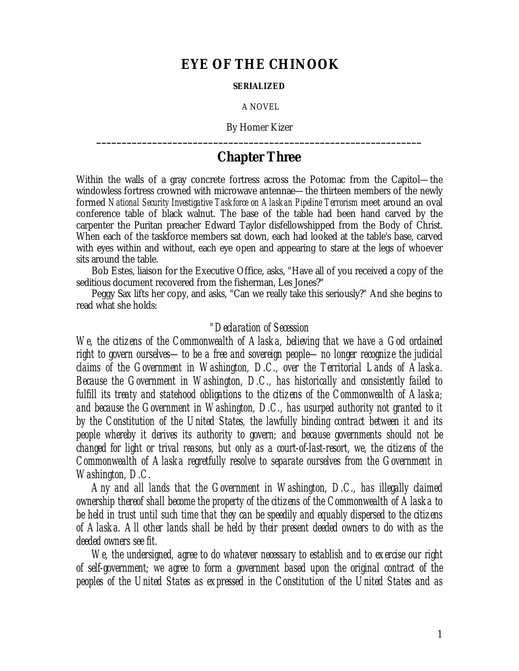## **EYE OF THE CHINOOK**

## **SERIALIZED**

A NOVEL

By Homer Kizer **\_\_\_\_\_\_\_\_\_\_\_\_\_\_\_\_\_\_\_\_\_\_\_\_\_\_\_\_\_\_\_\_\_\_\_\_\_\_\_\_\_\_\_\_\_\_\_\_\_\_\_\_\_\_\_\_\_\_\_\_\_\_\_\_**

## **Chapter Three**

Within the walls of a gray concrete fortress across the Potomac from the Capitol— the windowless fortress crowned with microwave antennae— the thirteen members of the newly formed *National Security Investigative Taskforce on Alaskan Pipeline Terrorism* meet around an oval conference table of black walnut. The base of the table had been hand carved by the carpenter the Puritan preacher Edward Taylor disfellowshipped from the Body of Christ. When each of the taskforce members sat down, each had looked at the table's base, carved with eyes within and without, each eye open and appearing to stare at the legs of whoever sits around the table.

Bob Estes, liaison for the Executive Office, asks, "Have all of you received a copy of the seditious document recovered from the fisherman, Les Jones?"

Peggy Sax lifts her copy, and asks, "Can we really take this seriously?" And she begins to read what she holds:

## *"Declaration of Secession*

*We, the citizens of the Commonwealth of Alaska, believing that we have a God ordained right to govern ourselves— to be a free and sovereign people— no longer recognize the judicial claims of the Government in Washington, D.C., over the Territorial Lands of Alaska. Because the Government in Washington, D.C., has historically and consistently failed to fulfill its treaty and statehood obligations to the citizens of the Commonwealth of Alaska; and because the Government in Washington, D.C., has usurped authority not granted to it by the Constitution of the United States, the lawfully binding contract between it and its people whereby it derives its authority to govern; and because governments should not be changed for light or trival reasons, but only as a court-of-last-resort, we, the citizens of the Commonwealth of Alaska regretfully resolve to separate ourselves from the Government in Washington, D.C.*

*Any and all lands that the Government in Washington, D.C., has illegally claimed ownership thereof shall become the property of the citizens of the Commonwealth of Alaska to be held in trust until such time that they can be speedily and equably dispersed to the citizens of Alaska. All other lands shall be held by their present deeded owners to do with as the deeded owners see fit.*

*We, the undersigned, agree to do whatever necessary to establish and to exercise our right of self-government; we agree to form a government based upon the original contract of the peoples of the United States as expressed in the Constitution of the United States and as*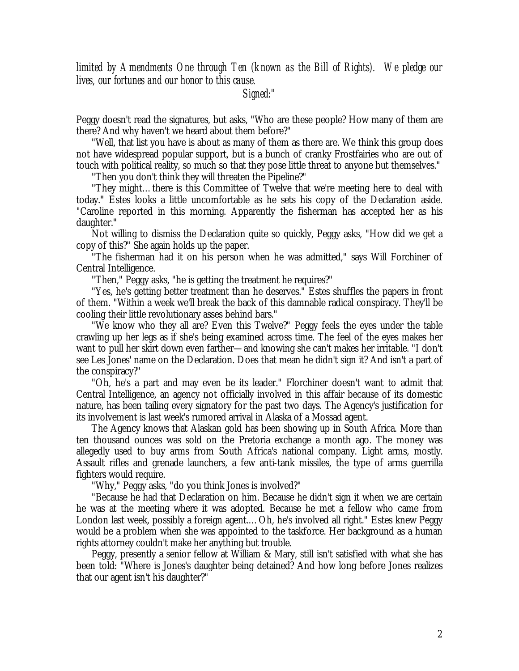*limited by Amendments One through Ten (known as the Bill of Rights). We pledge our lives, our fortunes and our honor to this cause.*

*Signed:"*

Peggy doesn't read the signatures, but asks, "Who are these people? How many of them are there? And why haven't we heard about them before?"

"Well, that list you have is about as many of them as there are. We think this group does not have widespread popular support, but is a bunch of cranky Frostfairies who are out of touch with political reality, so much so that they pose little threat to anyone but themselves."

"Then you don't think they will threaten the Pipeline?"

"They might… there is this Committee of Twelve that we're meeting here to deal with today." Estes looks a little uncomfortable as he sets his copy of the Declaration aside. "Caroline reported in this morning. Apparently the fisherman has accepted her as his daughter."

Not willing to dismiss the Declaration quite so quickly, Peggy asks, "How did we get a copy of this?" She again holds up the paper.

"The fisherman had it on his person when he was admitted," says Will Forchiner of Central Intelligence.

"Then," Peggy asks, "he is getting the treatment he requires?"

"Yes, he's getting better treatment than he deserves." Estes shuffles the papers in front of them. "Within a week we'll break the back of this damnable radical conspiracy. They'll be cooling their little revolutionary asses behind bars."

"We know who they all are? Even this Twelve?" Peggy feels the eyes under the table crawling up her legs as if she's being examined across time. The feel of the eyes makes her want to pull her skirt down even farther— and knowing she can't makes her irritable. "I don't see Les Jones' name on the Declaration. Does that mean he didn't sign it? And isn't a part of the conspiracy?"

"Oh, he's a part and may even be its leader." Florchiner doesn't want to admit that Central Intelligence, an agency not officially involved in this affair because of its domestic nature, has been tailing every signatory for the past two days. The Agency's justification for its involvement is last week's rumored arrival in Alaska of a Mossad agent.

The Agency knows that Alaskan gold has been showing up in South Africa. More than ten thousand ounces was sold on the Pretoria exchange a month ago. The money was allegedly used to buy arms from South Africa's national company. Light arms, mostly. Assault rifles and grenade launchers, a few anti-tank missiles, the type of arms guerrilla fighters would require.

"Why," Peggy asks, "do you think Jones is involved?"

"Because he had that Declaration on him. Because he didn't sign it when we are certain he was at the meeting where it was adopted. Because he met a fellow who came from London last week, possibly a foreign agent.… Oh, he's involved all right." Estes knew Peggy would be a problem when she was appointed to the taskforce. Her background as a human rights attorney couldn't make her anything but trouble.

Peggy, presently a senior fellow at William & Mary, still isn't satisfied with what she has been told: "Where is Jones's daughter being detained? And how long before Jones realizes that our agent isn't his daughter?"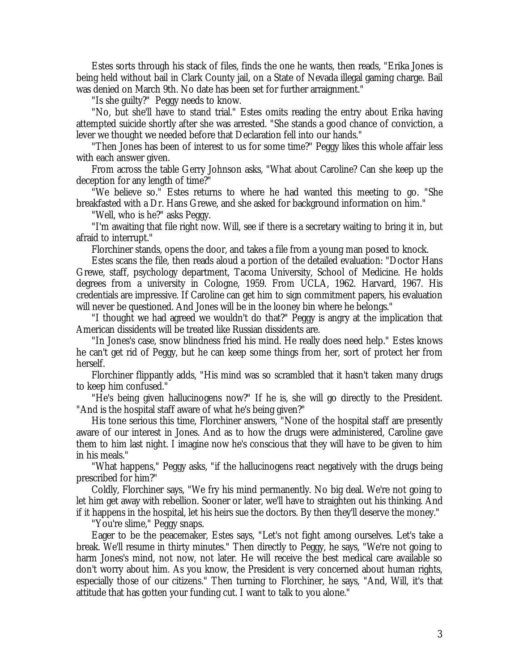Estes sorts through his stack of files, finds the one he wants, then reads, "Erika Jones is being held without bail in Clark County jail, on a State of Nevada illegal gaming charge. Bail was denied on March 9th. No date has been set for further arraignment."

"Is she guilty?" Peggy needs to know.

"No, but she'll have to stand trial." Estes omits reading the entry about Erika having attempted suicide shortly after she was arrested. "She stands a good chance of conviction, a lever we thought we needed before that Declaration fell into our hands."

"Then Jones has been of interest to us for some time?" Peggy likes this whole affair less with each answer given.

From across the table Gerry Johnson asks, "What about Caroline? Can she keep up the deception for any length of time?"

"We believe so." Estes returns to where he had wanted this meeting to go. "She breakfasted with a Dr. Hans Grewe, and she asked for background information on him."

"Well, who is he?" asks Peggy.

"I'm awaiting that file right now. Will, see if there is a secretary waiting to bring it in, but afraid to interrupt."

Florchiner stands, opens the door, and takes a file from a young man posed to knock.

Estes scans the file, then reads aloud a portion of the detailed evaluation: "Doctor Hans Grewe, staff, psychology department, Tacoma University, School of Medicine. He holds degrees from a university in Cologne, 1959. From UCLA, 1962. Harvard, 1967. His credentials are impressive. If Caroline can get him to sign commitment papers, his evaluation will never be questioned. And Jones will be in the looney bin where he belongs."

"I thought we had agreed we wouldn't do that?" Peggy is angry at the implication that American dissidents will be treated like Russian dissidents are.

"In Jones's case, snow blindness fried his mind. He really does need help." Estes knows he can't get rid of Peggy, but he can keep some things from her, sort of protect her from herself.

Florchiner flippantly adds, "His mind was so scrambled that it hasn't taken many drugs to keep him confused."

"He's being given hallucinogens now?" If he is, she will go directly to the President. "And is the hospital staff aware of what he's being given?"

His tone serious this time, Florchiner answers, "None of the hospital staff are presently aware of our interest in Jones. And as to how the drugs were administered, Caroline gave them to him last night. I imagine now he's conscious that they will have to be given to him in his meals."

"What happens," Peggy asks, "if the hallucinogens react negatively with the drugs being prescribed for him?"

Coldly, Florchiner says, "We fry his mind permanently. No big deal. We're not going to let him get away with rebellion. Sooner or later, we'll have to straighten out his thinking. And if it happens in the hospital, let his heirs sue the doctors. By then they'll deserve the money."

"You're slime," Peggy snaps.

Eager to be the peacemaker, Estes says, "Let's not fight among ourselves. Let's take a break. We'll resume in thirty minutes." Then directly to Peggy, he says, "We're not going to harm Jones's mind, not now, not later. He will receive the best medical care available so don't worry about him. As you know, the President is very concerned about human rights, especially those of our citizens." Then turning to Florchiner, he says, "And, Will, it's that attitude that has gotten your funding cut. I want to talk to you alone."